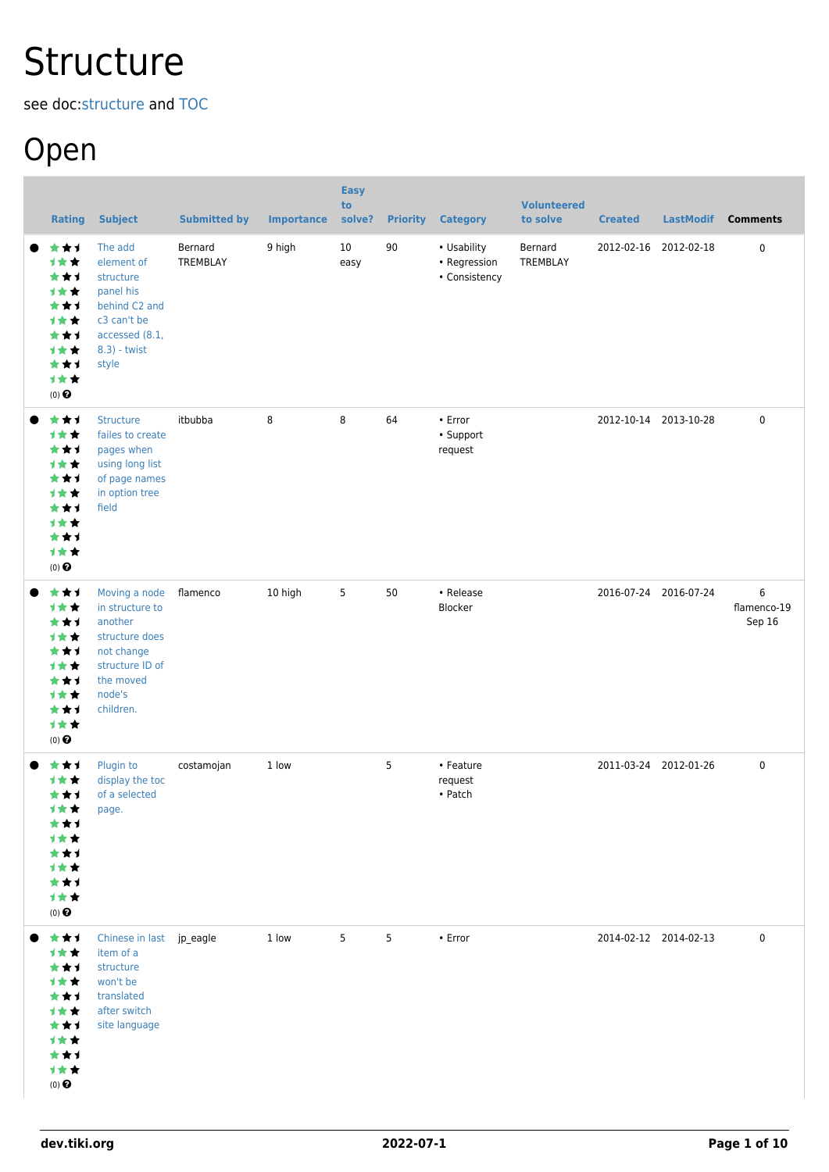# **Structure**

see doc:[structure](http://doc.tiki.org/structure) and [TOC](https://dev.tiki.org/TOC)

### Open

| <b>Rating</b>                                                                                               | <b>Subject</b>                                                                                                                     | <b>Submitted by</b> | <b>Importance</b> | <b>Easy</b><br>to<br>solve? | <b>Priority</b> | <b>Category</b>                              | <b>Volunteered</b><br>to solve | <b>Created</b> | <b>LastModif</b>      | <b>Comments</b>            |
|-------------------------------------------------------------------------------------------------------------|------------------------------------------------------------------------------------------------------------------------------------|---------------------|-------------------|-----------------------------|-----------------|----------------------------------------------|--------------------------------|----------------|-----------------------|----------------------------|
| ***<br>计女女<br>***<br>计女女<br>***<br>1★★<br>***<br><b>1**</b><br>***<br>计女女<br>$(0)$ $\Theta$                 | The add<br>element of<br>structure<br>panel his<br>behind C2 and<br>c3 can't be<br>accessed (8.1,<br>8.3) - twist<br>style         | Bernard<br>TREMBLAY | 9 high            | 10<br>easy                  | 90              | • Usability<br>• Regression<br>• Consistency | Bernard<br>TREMBLAY            |                | 2012-02-16 2012-02-18 | $\mathbf 0$                |
| ***<br>计女女<br>***<br>1★★<br>***<br>1★★<br>***<br>1★★<br>***<br>计女女<br>$(0)$ $\odot$                         | <b>Structure</b><br>failes to create<br>pages when<br>using long list<br>of page names<br>in option tree<br>field                  | itbubba             | 8                 | 8                           | 64              | $\cdot$ Error<br>• Support<br>request        |                                |                | 2012-10-14 2013-10-28 | $\mathbf 0$                |
| ***<br>计女女<br>***<br>计女女<br>***<br>1★★<br>***<br><b>1**</b><br>***<br>计女女<br>$(0)$ $\bigodot$               | Moving a node<br>in structure to<br>another<br>structure does<br>not change<br>structure ID of<br>the moved<br>node's<br>children. | flamenco            | 10 high           | 5                           | 50              | • Release<br>Blocker                         |                                |                | 2016-07-24 2016-07-24 | 6<br>flamenco-19<br>Sep 16 |
| ***<br><b>1**</b><br>***<br><b>1★★</b><br>***<br>计女女<br>***<br><b>1**</b><br>***<br>计女女<br>$(0)$ $\bigodot$ | Plugin to<br>display the toc<br>of a selected<br>page.                                                                             | costamojan          | 1 low             |                             | 5               | • Feature<br>request<br>• Patch              |                                |                | 2011-03-24 2012-01-26 | $\mathbf 0$                |
| 大大才<br>计女女<br>***<br>计女女<br>***<br>计女女<br>***<br>计女女<br>***<br>计女女<br>$(0)$ $\odot$                         | Chinese in last jp_eagle<br>item of a<br>structure<br>won't be<br>translated<br>after switch<br>site language                      |                     | 1 low             | 5                           | 5               | • Error                                      |                                |                | 2014-02-12 2014-02-13 | $\mathbf 0$                |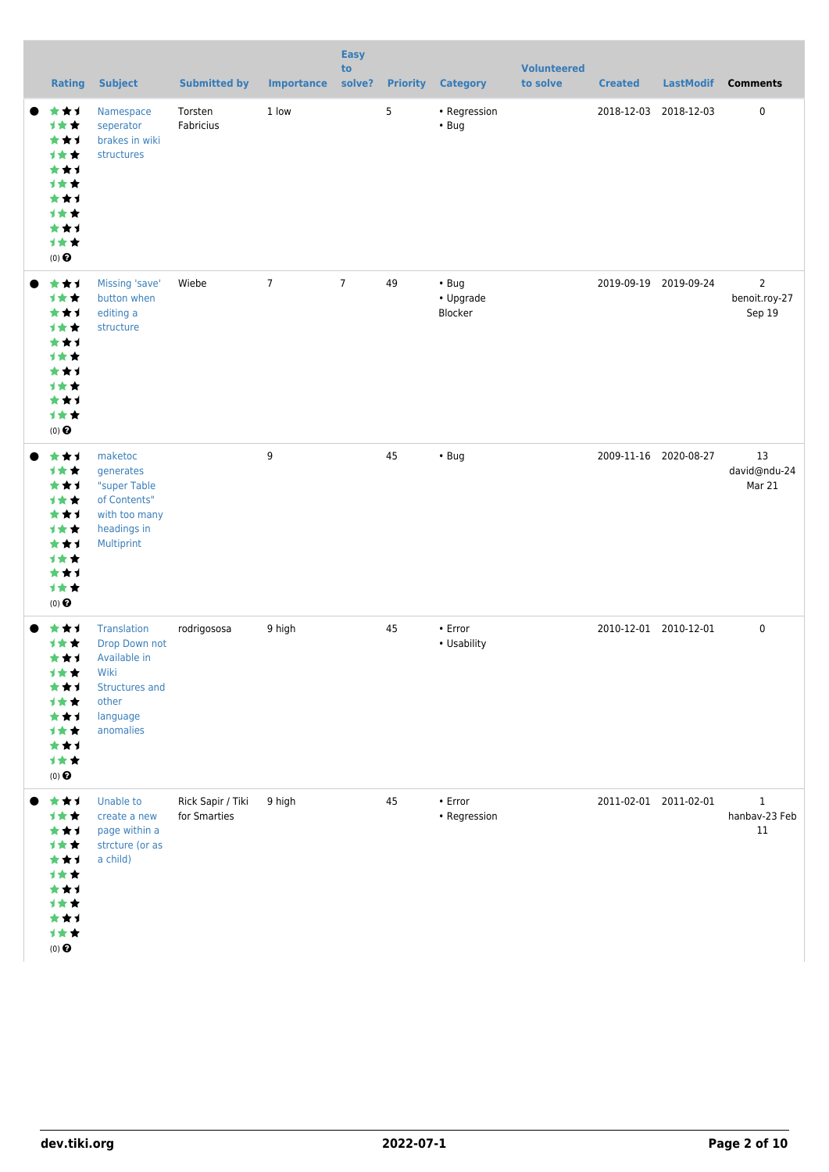| <b>Rating</b>                                                                          | <b>Subject</b>                                                                                                         | <b>Submitted by</b>               | <b>Importance</b> | <b>Easy</b><br>to<br>solve? |    | <b>Priority Category</b>            | <b>Volunteered</b><br>to solve | <b>Created</b>        | LastModif             | <b>Comments</b>                           |
|----------------------------------------------------------------------------------------|------------------------------------------------------------------------------------------------------------------------|-----------------------------------|-------------------|-----------------------------|----|-------------------------------------|--------------------------------|-----------------------|-----------------------|-------------------------------------------|
| ***<br>计女女<br>***<br>1★★<br>***<br>1★★<br>***<br>1★★<br>***<br>***<br>$(0)$ $\bigodot$ | Namespace<br>seperator<br>brakes in wiki<br>structures                                                                 | Torsten<br>Fabricius              | 1 low             |                             | 5  | • Regression<br>$\cdot$ Bug         |                                | 2018-12-03 2018-12-03 |                       | $\pmb{0}$                                 |
| ***<br>计女女<br>***<br>***<br>***<br>1★★<br>***<br>1★★<br>***<br>计女女<br>$(0)$ $\odot$    | Missing 'save'<br>button when<br>editing a<br>structure                                                                | Wiebe                             | $\overline{7}$    | $\overline{7}$              | 49 | $\cdot$ Bug<br>• Upgrade<br>Blocker |                                |                       | 2019-09-19 2019-09-24 | $\overline{2}$<br>benoit.roy-27<br>Sep 19 |
| ***<br>1★★<br>***<br>1★★<br>***<br>***<br>***<br>计女女<br>***<br>计女女<br>$(0)$ $\bigodot$ | maketoc<br>generates<br>"super Table<br>of Contents"<br>with too many<br>headings in<br>Multiprint                     |                                   | 9                 |                             | 45 | $\cdot$ Bug                         |                                |                       | 2009-11-16 2020-08-27 | 13<br>david@ndu-24<br>Mar 21              |
| ***<br>1★★<br>***<br>计女女<br>***<br>计女女<br>***<br>计女女<br>***<br>1★★<br>$(0)$ $\bigodot$ | <b>Translation</b><br>Drop Down not<br>Available in<br>Wiki<br><b>Structures and</b><br>other<br>language<br>anomalies | rodrigososa                       | 9 high            |                             | 45 | $\cdot$ Error<br>• Usability        |                                | 2010-12-01 2010-12-01 |                       | $\pmb{0}$                                 |
| 大女子<br>计女女<br>***<br>计女女<br>***<br>1★★<br>***<br>1★★<br>***<br>1★★<br>$(0)$ $\bigodot$ | Unable to<br>create a new<br>page within a<br>strcture (or as<br>a child)                                              | Rick Sapir / Tiki<br>for Smarties | 9 high            |                             | 45 | $\cdot$ Error<br>• Regression       |                                | 2011-02-01 2011-02-01 |                       | $\mathbf{1}$<br>hanbav-23 Feb<br>11       |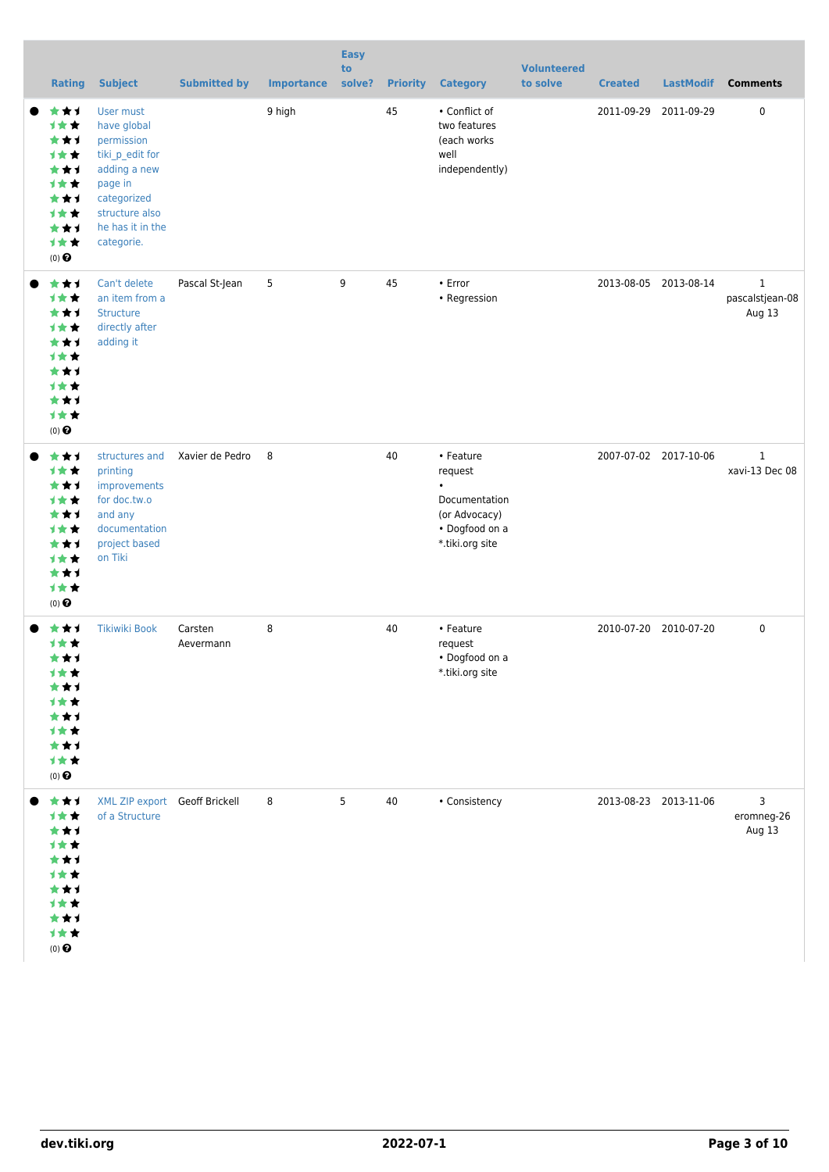|                  | <b>Rating</b>                                                                           | <b>Subject</b>                                                                                                                                          | <b>Submitted by</b>  | <b>Importance</b> | <b>Easy</b><br>to<br>solve? | <b>Priority</b> | <b>Category</b>                                                                                          | <b>Volunteered</b><br>to solve | <b>Created</b>        | <b>LastModif</b>      | <b>Comments</b>                           |
|------------------|-----------------------------------------------------------------------------------------|---------------------------------------------------------------------------------------------------------------------------------------------------------|----------------------|-------------------|-----------------------------|-----------------|----------------------------------------------------------------------------------------------------------|--------------------------------|-----------------------|-----------------------|-------------------------------------------|
| $(0)$ $\Theta$   | ***<br>1★★<br>***<br><b>1**</b><br>***<br><b>1**</b><br>***<br>***<br>***<br>计女女        | User must<br>have global<br>permission<br>tiki_p_edit for<br>adding a new<br>page in<br>categorized<br>structure also<br>he has it in the<br>categorie. |                      | 9 high            |                             | 45              | • Conflict of<br>two features<br>(each works<br>well<br>independently)                                   |                                |                       | 2011-09-29 2011-09-29 | $\pmb{0}$                                 |
| $(0)$ $\odot$    | ***<br>才女女<br>***<br>才女女<br>***<br>才女女<br>***<br>才女女<br>***<br>才女女                      | Can't delete<br>an item from a<br><b>Structure</b><br>directly after<br>adding it                                                                       | Pascal St-Jean       | 5                 | 9                           | 45              | • Error<br>• Regression                                                                                  |                                |                       | 2013-08-05 2013-08-14 | $\mathbf{1}$<br>pascalstjean-08<br>Aug 13 |
| $(0)$ $\odot$    | ***<br>1★★<br>***<br><b>1**</b><br>***<br><b>1**</b><br>***<br><b>1**</b><br>***<br>才女女 | structures and<br>printing<br>improvements<br>for doc.tw.o<br>and any<br>documentation<br>project based<br>on Tiki                                      | Xavier de Pedro      | 8                 |                             | 40              | • Feature<br>request<br>$\bullet$<br>Documentation<br>(or Advocacy)<br>• Dogfood on a<br>*.tiki.org site |                                |                       | 2007-07-02 2017-10-06 | $\mathbf{1}$<br>xavi-13 Dec 08            |
| $(0)$ $\bigodot$ | ***<br><b>1**</b><br>***<br>计女女<br>***<br>计女女<br>***<br><b>1**</b><br>***<br>1★★        | <b>Tikiwiki Book</b>                                                                                                                                    | Carsten<br>Aevermann | 8                 |                             | 40              | • Feature<br>request<br>• Dogfood on a<br>*.tiki.org site                                                |                                | 2010-07-20 2010-07-20 |                       | $\pmb{0}$                                 |
| $(0)$ $\odot$    | ***<br>1★★<br>***<br>才女女<br>***<br>计女女<br>***<br>才女女<br>***<br>1★★                      | XML ZIP export Geoff Brickell<br>of a Structure                                                                                                         |                      | 8                 | 5                           | 40              | • Consistency                                                                                            |                                | 2013-08-23 2013-11-06 |                       | 3<br>eromneg-26<br>Aug 13                 |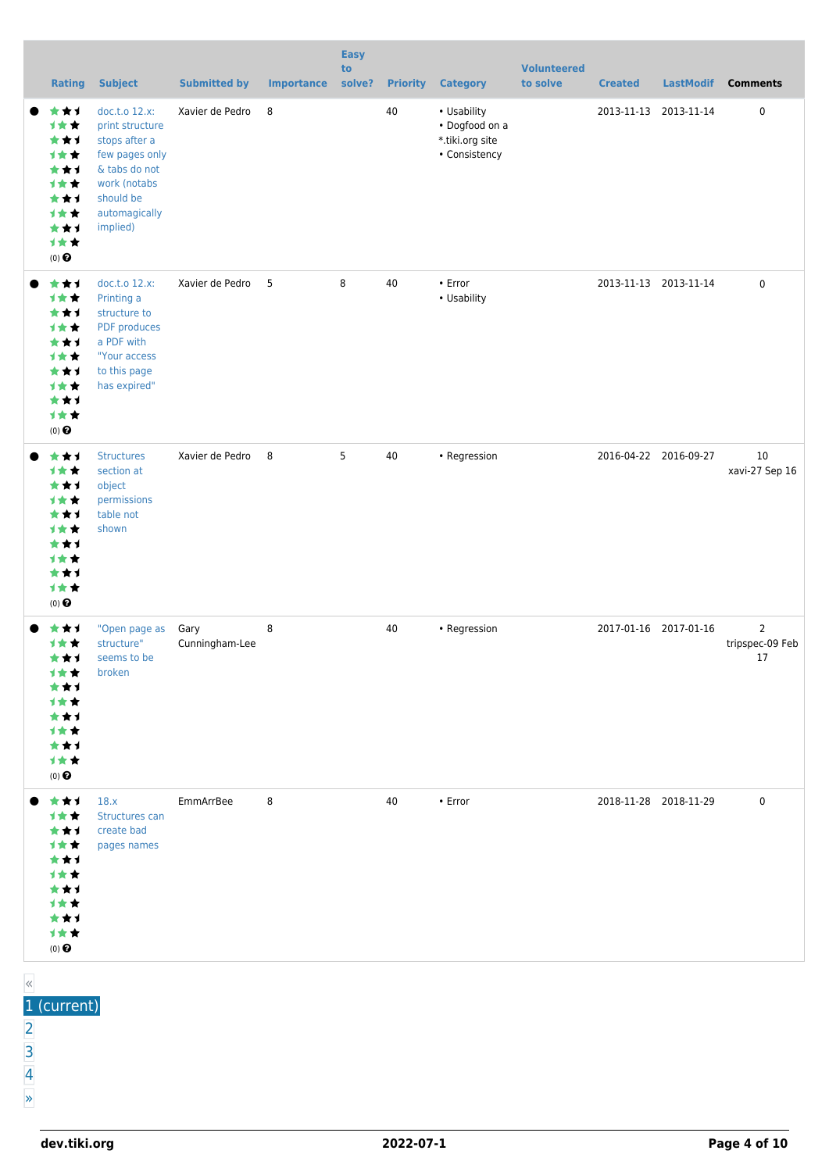|                      | <b>Rating</b>                                                             | <b>Subject</b>                                                                                                                                 | <b>Submitted by</b>    | <b>Importance solve?</b> | <b>Easy</b><br>to |    | <b>Priority Category</b>                                          | <b>Volunteered</b><br>to solve | <b>Created</b>        | <b>LastModif</b>      | <b>Comments</b>                         |
|----------------------|---------------------------------------------------------------------------|------------------------------------------------------------------------------------------------------------------------------------------------|------------------------|--------------------------|-------------------|----|-------------------------------------------------------------------|--------------------------------|-----------------------|-----------------------|-----------------------------------------|
| (0) $\pmb{\Theta}$   | ***<br>计女女<br>***<br>1★★<br>***<br>计女女<br>***<br>计女女<br>***<br>计女女        | doc.t.o 12.x:<br>print structure<br>stops after a<br>few pages only<br>& tabs do not<br>work (notabs<br>should be<br>automagically<br>implied) | Xavier de Pedro        | 8                        |                   | 40 | • Usability<br>• Dogfood on a<br>*.tiki.org site<br>• Consistency |                                | 2013-11-13 2013-11-14 |                       | $\pmb{0}$                               |
| (0) $\pmb{\Theta}$   | ***<br>计女女<br>***<br>计女女<br>***<br>1★★<br>***<br>计女女<br>***<br>计女女        | doc.t.o 12.x:<br>Printing a<br>structure to<br>PDF produces<br>a PDF with<br>"Your access<br>to this page<br>has expired"                      | Xavier de Pedro        | $-5$                     | 8                 | 40 | • Error<br>• Usability                                            |                                |                       | 2013-11-13 2013-11-14 | $\mathbf 0$                             |
| $(0)$ $\odot$        | ***<br>计女女<br>***<br>计女女<br>***<br>1★★<br>***<br>计女女<br>***<br>计女女        | <b>Structures</b><br>section at<br>object<br>permissions<br>table not<br>shown                                                                 | Xavier de Pedro        | 8                        | 5                 | 40 | • Regression                                                      |                                |                       | 2016-04-22 2016-09-27 | 10<br>xavi-27 Sep 16                    |
| $(0)$ $\odot$        | ***<br><b>1**</b><br>***<br>计女女<br>***<br>计女女<br>***<br>计女女<br>***<br>计女女 | "Open page as<br>structure"<br>seems to be<br>broken                                                                                           | Gary<br>Cunningham-Lee | 8                        |                   | 40 | • Regression                                                      |                                |                       | 2017-01-16 2017-01-16 | $\overline{2}$<br>tripspec-09 Feb<br>17 |
| 大大大<br>$(0)$ $\odot$ | 计女女<br>***<br>计女女<br>***<br>计女女<br>***<br>计女女<br>***<br>计女女               | 18.x<br>Structures can<br>create bad<br>pages names                                                                                            | EmmArrBee              | 8                        |                   | 40 | • Error                                                           |                                | 2018-11-28 2018-11-29 |                       | $\mathbf 0$                             |

| 《<br>__     |  |  |  |
|-------------|--|--|--|
| 1 (current) |  |  |  |
|             |  |  |  |
| ــ          |  |  |  |
|             |  |  |  |
| $\gg$       |  |  |  |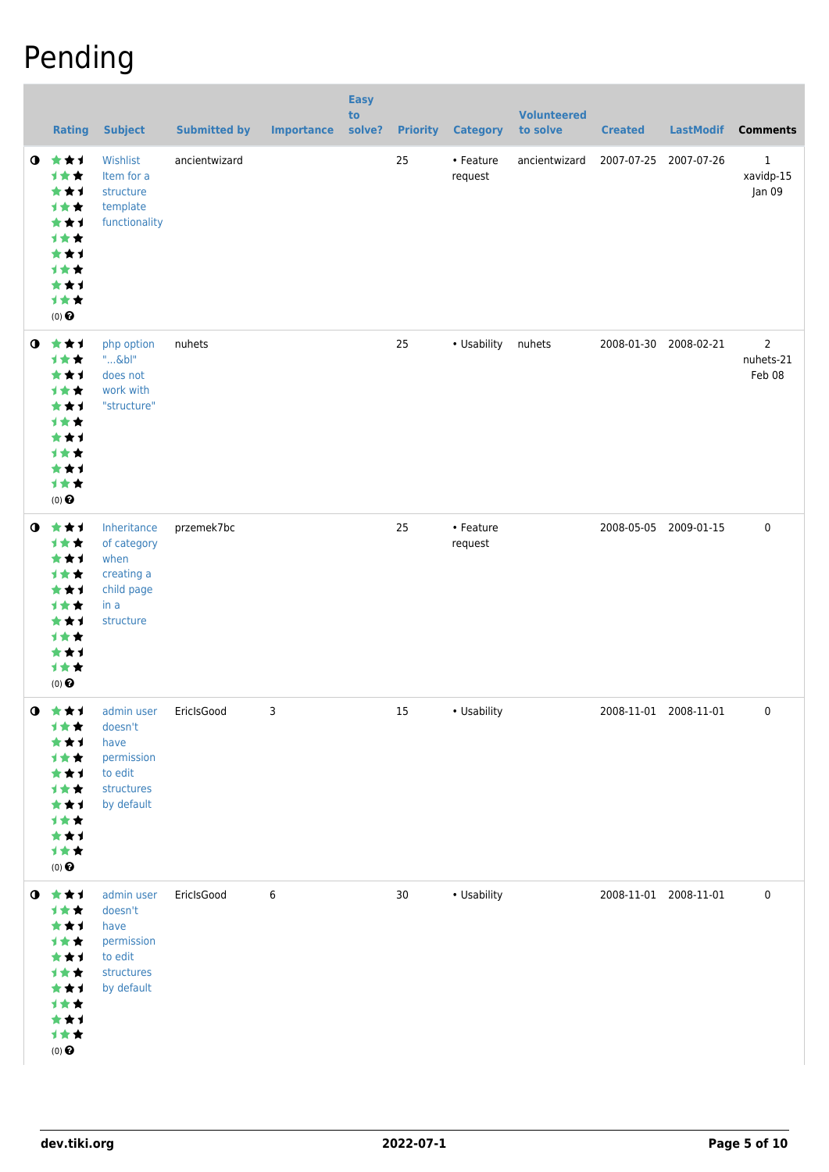## Pending

|           | <b>Rating</b>                                                                                                  | <b>Subject</b>                                                                                | <b>Submitted by</b> | <b>Importance</b> | <b>Easy</b><br>to<br>solve? |    | <b>Priority Category</b> | <b>Volunteered</b><br>to solve | <b>Created</b>        | <b>LastModif</b>      | <b>Comments</b>                       |
|-----------|----------------------------------------------------------------------------------------------------------------|-----------------------------------------------------------------------------------------------|---------------------|-------------------|-----------------------------|----|--------------------------|--------------------------------|-----------------------|-----------------------|---------------------------------------|
| $\bullet$ | ***<br>计女女<br>***<br>计女女<br>***<br>计女女<br>***<br>计女女<br>***<br>计女女<br>$(0)$ $\odot$                            | Wishlist<br>Item for a<br>structure<br>template<br>functionality                              | ancientwizard       |                   |                             | 25 | • Feature<br>request     | ancientwizard                  | 2007-07-25 2007-07-26 |                       | $\mathbf 1$<br>xavidp-15<br>Jan 09    |
| $\bullet$ | ***<br>计女女<br>***<br>计女女<br>***<br>计女女<br>***<br>计女女<br>***<br>计女女<br>$(0)$ $\odot$                            | php option<br>$"$ &bl"<br>does not<br>work with<br>"structure"                                | nuhets              |                   |                             | 25 | • Usability              | nuhets                         | 2008-01-30 2008-02-21 |                       | $\overline{2}$<br>nuhets-21<br>Feb 08 |
| $\bullet$ | ***<br>计女女<br>***<br>计女女<br>***<br>计女女<br>***<br>计女女<br>***<br>计女女<br>$(0)$ $\odot$                            | Inheritance<br>of category<br>when<br>creating a<br>child page<br>in a<br>structure           | przemek7bc          |                   |                             | 25 | • Feature<br>request     |                                | 2008-05-05 2009-01-15 |                       | 0                                     |
|           | $0$ $\star\star\star$<br>计女女<br>★★1<br>计女女<br>***<br>计女女<br>***<br>计女女<br>***<br>计女女<br>$(0)$ $\odot$          | admin user EriclsGood<br>doesn't<br>have<br>permission<br>to edit<br>structures<br>by default |                     | 3                 |                             | 15 | • Usability              |                                |                       | 2008-11-01 2008-11-01 | 0                                     |
|           | $0$ $\star$ $\star$ $1$<br>计女女<br>***<br>计女女<br>***<br>计女女<br>***<br>计女女<br>***<br>计女女<br>$(0)$ $\pmb{\Theta}$ | admin user<br>doesn't<br>have<br>permission<br>to edit<br>structures<br>by default            | EricIsGood          | 6                 |                             | 30 | • Usability              |                                | 2008-11-01 2008-11-01 |                       | 0                                     |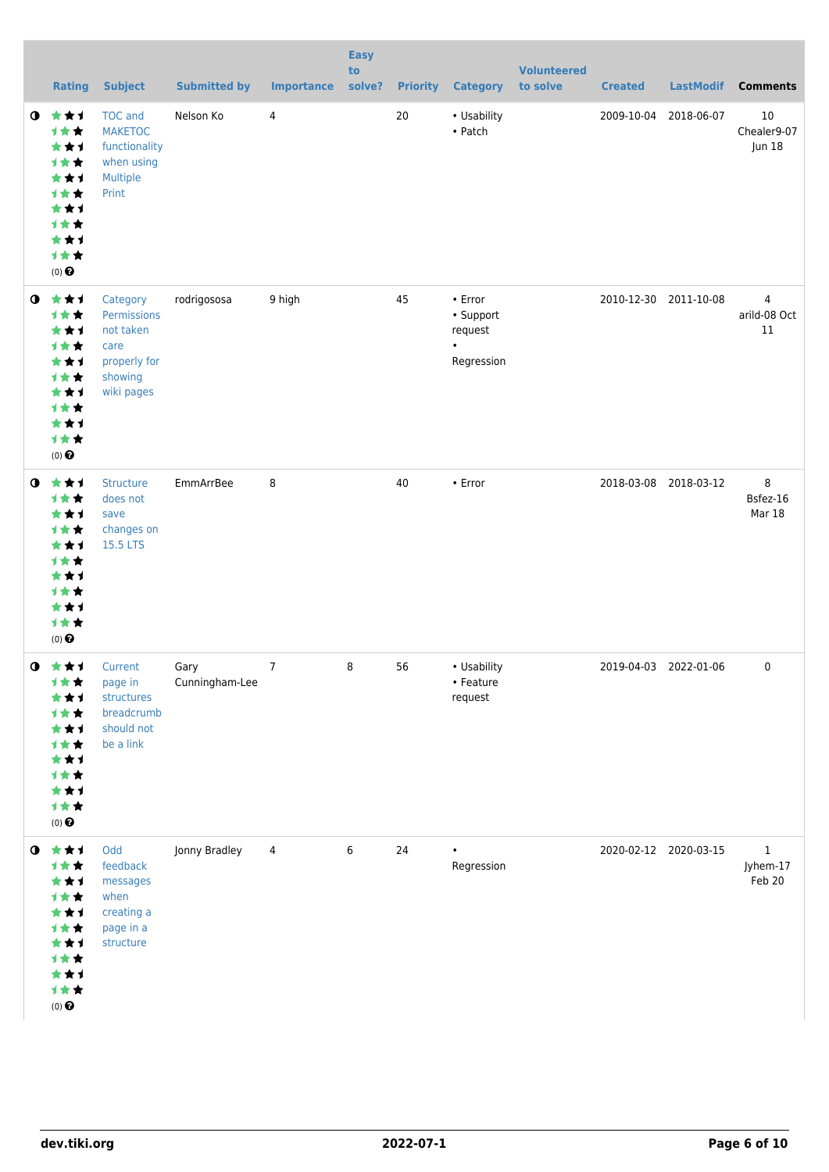|           | <b>Rating</b>                                                                                                   | <b>Subject</b>                                                                        | <b>Submitted by</b>    | <b>Importance</b> | <b>Easy</b><br>to<br>solve? | <b>Priority</b> | <b>Category</b>                                                  | <b>Volunteered</b><br>to solve | <b>Created</b> | <b>LastModif</b>      | <b>Comments</b>                   |
|-----------|-----------------------------------------------------------------------------------------------------------------|---------------------------------------------------------------------------------------|------------------------|-------------------|-----------------------------|-----------------|------------------------------------------------------------------|--------------------------------|----------------|-----------------------|-----------------------------------|
| $\bullet$ | ***<br>计女女<br>***<br>计女女<br>***<br>计女女<br>***<br>计女女<br>***<br>计女女<br>$(0)$ $\odot$                             | <b>TOC</b> and<br><b>MAKETOC</b><br>functionality<br>when using<br>Multiple<br>Print  | Nelson Ko              | 4                 |                             | 20              | • Usability<br>• Patch                                           |                                | 2009-10-04     | 2018-06-07            | $10\,$<br>Chealer9-07<br>Jun 18   |
| $\bullet$ | ***<br>计女女<br>***<br>计女女<br>***<br>计女女<br>***<br>计女女<br>***<br>计女女<br>$(0)$ $\odot$                             | Category<br>Permissions<br>not taken<br>care<br>properly for<br>showing<br>wiki pages | rodrigososa            | 9 high            |                             | 45              | $\cdot$ Error<br>• Support<br>request<br>$\bullet$<br>Regression |                                |                | 2010-12-30 2011-10-08 | 4<br>arild-08 Oct<br>$11\,$       |
| $\bullet$ | 女女子<br>计女女<br>***<br>计女女<br>***<br>计女女<br>***<br>计女女<br>***<br>计女女<br>$(0)$ $\odot$                             | Structure<br>does not<br>save<br>changes on<br>15.5 LTS                               | EmmArrBee              | 8                 |                             | 40              | • Error                                                          |                                |                | 2018-03-08 2018-03-12 | 8<br>Bsfez-16<br>Mar 18           |
|           | $0$ $\star\star\star$<br>计女女<br>***<br>计女女<br>★★1<br>计女女<br>***<br>计女女<br>***<br>计女女<br>$(0)$<br>$\pmb{\Theta}$ | Current<br>page in<br>structures<br>breadcrumb<br>should not<br>be a link             | Gary<br>Cunningham-Lee | $\overline{7}$    | 8                           | 56              | • Usability<br>• Feature<br>request                              |                                |                | 2019-04-03 2022-01-06 | 0                                 |
| $\bullet$ | 女女子<br>计女女<br>***<br>1★★<br>★★1<br>计女女<br>***<br>计女女<br>***<br>计女女<br>$(0)$ $\odot$                             | Odd<br>feedback<br>messages<br>when<br>creating a<br>page in a<br>structure           | Jonny Bradley          | 4                 | 6                           | 24              | $\bullet$<br>Regression                                          |                                |                | 2020-02-12 2020-03-15 | $\mathbf 1$<br>Jyhem-17<br>Feb 20 |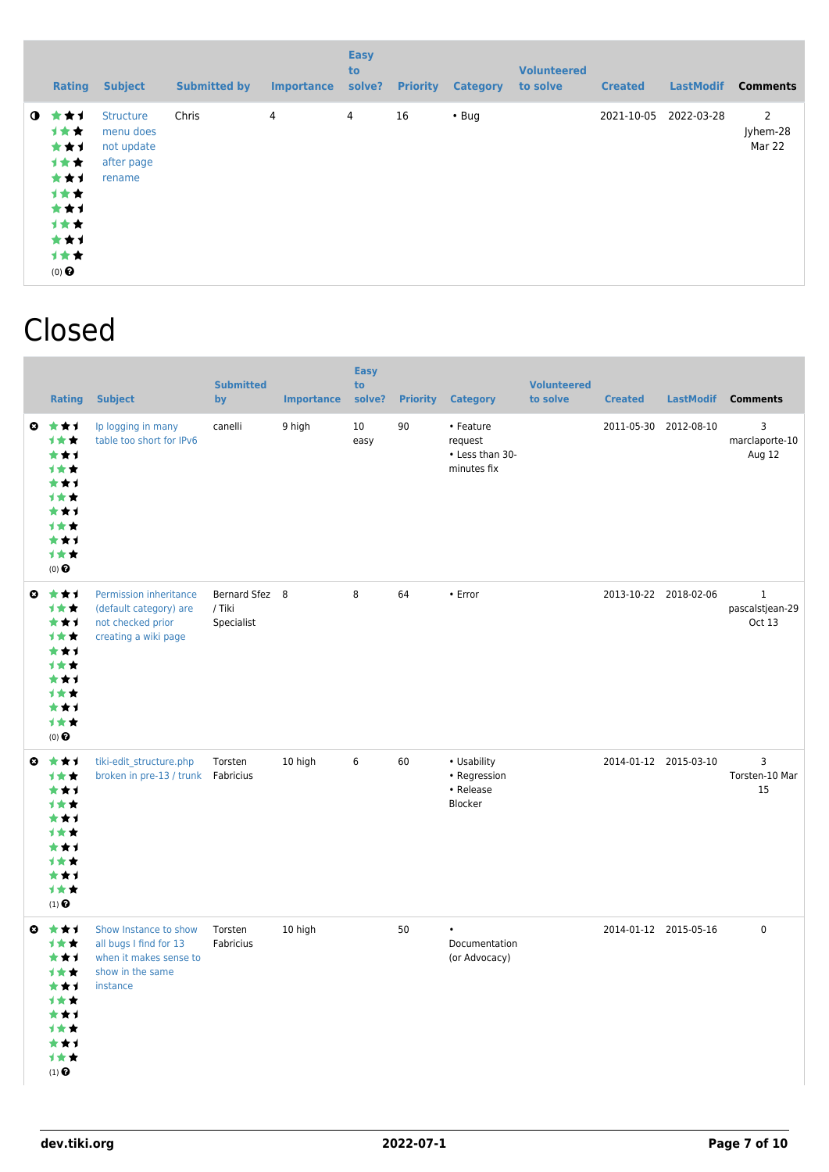|             | <b>Rating</b>                                                                              | <b>Subject</b>                                                      | <b>Submitted by</b> | <b>Importance</b> | <b>Easy</b><br>to<br>solve? | <b>Priority</b> | <b>Category</b> | <b>Volunteered</b><br>to solve | <b>Created</b> | <b>LastModif</b> | <b>Comments</b>                      |
|-------------|--------------------------------------------------------------------------------------------|---------------------------------------------------------------------|---------------------|-------------------|-----------------------------|-----------------|-----------------|--------------------------------|----------------|------------------|--------------------------------------|
| $\mathbf o$ | ***<br><b>1**</b><br>***<br>计女女<br>***<br>计女女<br>***<br>计女女<br>***<br>1★★<br>$(0)$ $\odot$ | <b>Structure</b><br>menu does<br>not update<br>after page<br>rename | Chris               | 4                 | 4                           | 16              | $\cdot$ Bug     |                                | 2021-10-05     | 2022-03-28       | $\overline{2}$<br>Jyhem-28<br>Mar 22 |

#### Closed

|           | <b>Rating</b>                                                                                                                  | <b>Subject</b>                                                                                            | <b>Submitted</b><br>by                 | <b>Importance</b> | <b>Easy</b><br>to<br>solve? | <b>Priority</b> | <b>Category</b>                                        | <b>Volunteered</b><br>to solve | <b>Created</b> | LastModif             | <b>Comments</b>                          |
|-----------|--------------------------------------------------------------------------------------------------------------------------------|-----------------------------------------------------------------------------------------------------------|----------------------------------------|-------------------|-----------------------------|-----------------|--------------------------------------------------------|--------------------------------|----------------|-----------------------|------------------------------------------|
| $\bullet$ | ***<br>1**<br>***<br>1★★<br>***<br><b>1**</b><br>***<br>1★★<br>***<br>计女女<br>$(0)$ $\odot$                                     | Ip logging in many<br>table too short for IPv6                                                            | canelli                                | 9 high            | 10<br>easy                  | 90              | • Feature<br>request<br>• Less than 30-<br>minutes fix |                                |                | 2011-05-30 2012-08-10 | 3<br>marclaporte-10<br>Aug 12            |
| $\bullet$ | ***<br>计女女<br>***<br>1**<br>***<br><b>1**</b><br>***<br>计女女<br>***<br>1★★<br>$(0)$ $\odot$                                     | Permission inheritance<br>(default category) are<br>not checked prior<br>creating a wiki page             | Bernard Sfez 8<br>/ Tiki<br>Specialist |                   | 8                           | 64              | • Error                                                |                                |                | 2013-10-22 2018-02-06 | $\mathbf 1$<br>pascalstjean-29<br>Oct 13 |
| $\bullet$ | ***<br>1★★<br>***<br>1**<br>***<br><b>1★★</b><br>***<br>1★★<br>***<br>1★★<br>$(1)$ <sup><math>\odot</math></sup>               | tiki-edit_structure.php<br>broken in pre-13 / trunk   Fabricius                                           | Torsten                                | 10 high           | 6                           | 60              | • Usability<br>• Regression<br>• Release<br>Blocker    |                                |                | 2014-01-12 2015-03-10 | 3<br>Torsten-10 Mar<br>15                |
|           | $0 \star \star 1$<br>计女女<br>***<br>计女女<br>★★1<br>1★★<br>★★1<br><b>1**</b><br>***<br>计女女<br>$(1)$ <sup><math>\odot</math></sup> | Show Instance to show<br>all bugs I find for 13<br>when it makes sense to<br>show in the same<br>instance | Torsten<br>Fabricius                   | 10 high           |                             | 50              | $\bullet$<br>Documentation<br>(or Advocacy)            |                                |                | 2014-01-12 2015-05-16 | $\mathbf 0$                              |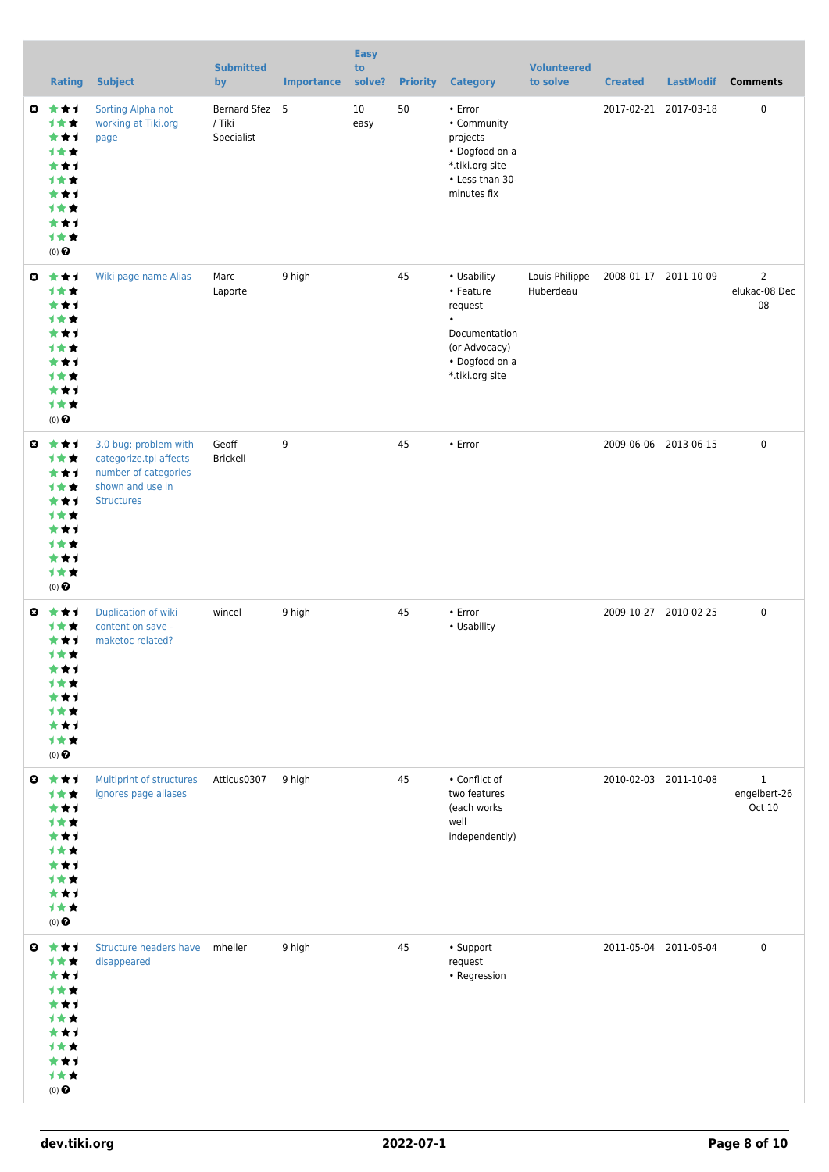|                       | <b>Rating</b>                                                                                     | <b>Subject</b>                                                                                                   | <b>Submitted</b><br>by                 | <b>Importance</b> | <b>Easy</b><br>to<br>solve? | <b>Priority</b> | <b>Category</b>                                                                                                         | <b>Volunteered</b><br>to solve | <b>Created</b> | <b>LastModif</b>      | <b>Comments</b>                        |
|-----------------------|---------------------------------------------------------------------------------------------------|------------------------------------------------------------------------------------------------------------------|----------------------------------------|-------------------|-----------------------------|-----------------|-------------------------------------------------------------------------------------------------------------------------|--------------------------------|----------------|-----------------------|----------------------------------------|
| ◒                     | ***<br>计女女<br>***<br>1★★<br>***<br>计女女<br>***<br>计女女<br>***<br>计女女<br>$(0)$ $\Theta$              | Sorting Alpha not<br>working at Tiki.org<br>page                                                                 | Bernard Sfez 5<br>/ Tiki<br>Specialist |                   | 10<br>easy                  | 50              | • Error<br>• Community<br>projects<br>• Dogfood on a<br>*.tiki.org site<br>• Less than 30-<br>minutes fix               |                                |                | 2017-02-21 2017-03-18 | 0                                      |
| $\bullet$             | ***<br>计女女<br>***<br>***<br>***<br>计女女<br>***<br>计女女<br>***<br>计女女<br>$(0)$ $\Theta$              | Wiki page name Alias                                                                                             | Marc<br>Laporte                        | 9 high            |                             | 45              | • Usability<br>• Feature<br>request<br>$\bullet$<br>Documentation<br>(or Advocacy)<br>• Dogfood on a<br>*.tiki.org site | Louis-Philippe<br>Huberdeau    |                | 2008-01-17 2011-10-09 | $\overline{2}$<br>elukac-08 Dec<br>08  |
| $\bullet$             | ***<br>计女女<br>***<br>计女女<br>***<br>计女女<br>***<br>计女女<br>***<br>1★★<br>$(0)$ $\odot$               | 3.0 bug: problem with<br>categorize.tpl affects<br>number of categories<br>shown and use in<br><b>Structures</b> | Geoff<br><b>Brickell</b>               | 9                 |                             | 45              | • Error                                                                                                                 |                                |                | 2009-06-06 2013-06-15 | 0                                      |
| $\boldsymbol{\Omega}$ | ***<br><b>1**</b><br>***<br>计女女<br>***<br>计女女<br>***<br><b>1**</b><br>***<br>1★★<br>$(0)$ $\odot$ | Duplication of wiki<br>content on save -<br>maketoc related?                                                     | wincel                                 | 9 high            |                             | 45              | • Error<br>• Usability                                                                                                  |                                |                | 2009-10-27 2010-02-25 | 0                                      |
| $\bullet$             | ***<br>计女女<br>***<br>计女女<br>***<br>计女女<br>***<br>计女女<br>***<br>1★★<br>$(0)$<br>$\pmb{\Theta}$     | Multiprint of structures<br>ignores page aliases                                                                 | Atticus0307                            | 9 high            |                             | 45              | • Conflict of<br>two features<br>(each works<br>well<br>independently)                                                  |                                |                | 2010-02-03 2011-10-08 | $\mathbf{1}$<br>engelbert-26<br>Oct 10 |
| $\boldsymbol{\Omega}$ | ***<br>1★★<br>***<br>计女女<br>***<br><b>1**</b><br>***<br>计女女<br>***<br>1★★<br>$(0)$ $\odot$        | Structure headers have mheller<br>disappeared                                                                    |                                        | 9 high            |                             | 45              | • Support<br>request<br>• Regression                                                                                    |                                |                | 2011-05-04 2011-05-04 | 0                                      |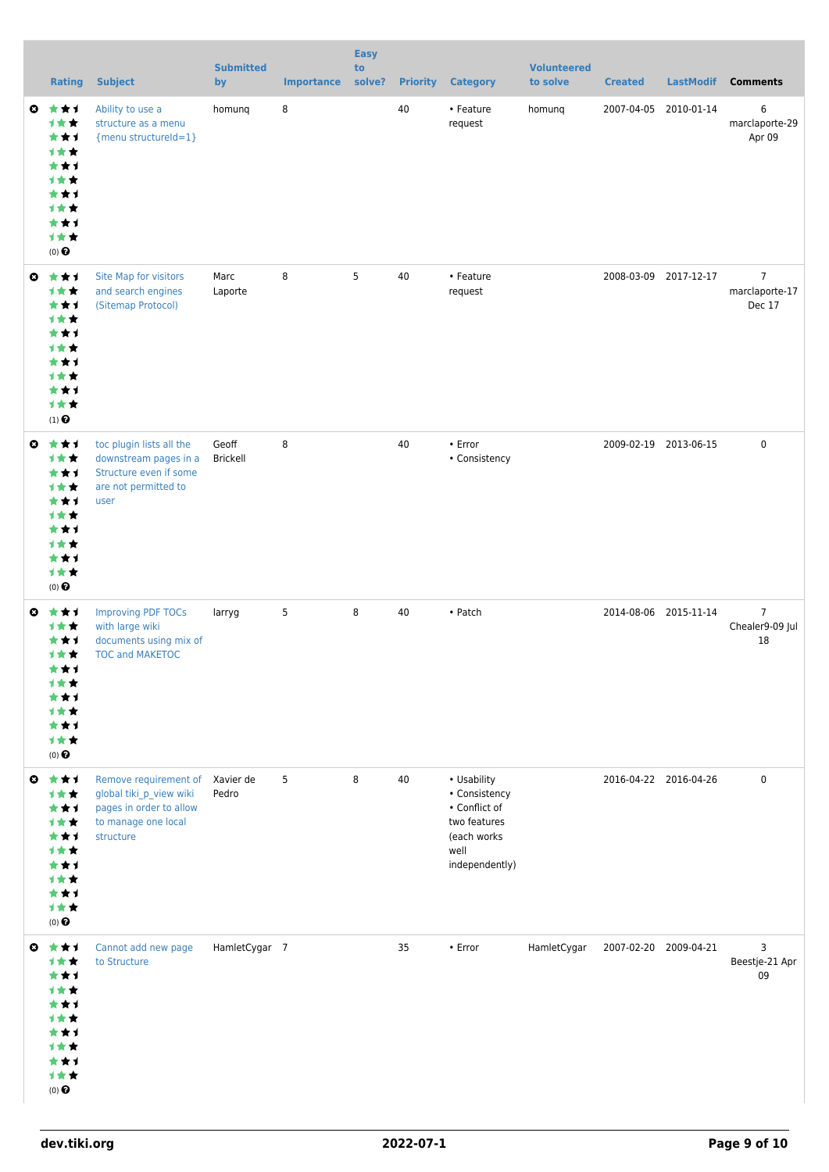|                       | <b>Rating</b>                                                                                            | <b>Subject</b>                                                                                                  | <b>Submitted</b><br>by | <b>Importance</b> | <b>Easy</b><br>to<br>solve? | <b>Priority</b> | <b>Category</b>                                                                                        | <b>Volunteered</b><br>to solve | <b>Created</b> | <b>LastModif</b>      | <b>Comments</b>                            |
|-----------------------|----------------------------------------------------------------------------------------------------------|-----------------------------------------------------------------------------------------------------------------|------------------------|-------------------|-----------------------------|-----------------|--------------------------------------------------------------------------------------------------------|--------------------------------|----------------|-----------------------|--------------------------------------------|
| O                     | ***<br>计女女<br>***<br>计女女<br>***<br><b>1**</b><br>***<br><b>1**</b><br>***<br>1★★<br>$(0)$ $\odot$        | Ability to use a<br>structure as a menu<br>{menu structureId=1}                                                 | homung                 | 8                 |                             | 40              | • Feature<br>request                                                                                   | homunq                         | 2007-04-05     | 2010-01-14            | 6<br>marclaporte-29<br>Apr 09              |
|                       | ◎ ★★1<br>计女女<br>***<br>1★★<br>***<br>计女女<br>***<br>计女女<br>***<br>1★★<br>$(1)$ $\odot$                    | Site Map for visitors<br>and search engines<br>(Sitemap Protocol)                                               | Marc<br>Laporte        | 8                 | 5                           | 40              | • Feature<br>request                                                                                   |                                |                | 2008-03-09 2017-12-17 | $\overline{7}$<br>marclaporte-17<br>Dec 17 |
| $\bullet$             | ***<br>1★★<br>***<br>1★★<br>***<br>计女女<br>***<br>计女女<br>***<br>1★★<br>$(0)$ $\odot$                      | toc plugin lists all the<br>downstream pages in a<br>Structure even if some<br>are not permitted to<br>user     | Geoff<br>Brickell      | 8                 |                             | 40              | • Error<br>• Consistency                                                                               |                                |                | 2009-02-19 2013-06-15 | $\mathbf 0$                                |
| $\bullet$             | ***<br>计女女<br>***<br><b>1**</b><br>***<br>计女女<br>* * 1<br><b>1**</b><br>***<br>计女女<br>$(0)$ $\odot$      | <b>Improving PDF TOCs</b><br>with large wiki<br>documents using mix of<br><b>TOC and MAKETOC</b>                | larryg                 | 5                 | 8                           | 40              | • Patch                                                                                                |                                |                | 2014-08-06 2015-11-14 | $\overline{7}$<br>Chealer9-09 Jul<br>18    |
| $\boldsymbol{\Omega}$ | ***<br>计女女<br>***<br><b>1**</b><br>***<br><b>1**</b><br>***<br>计女女<br>***<br>1★★<br>$(0)$ $\odot$        | Remove requirement of<br>global tiki_p_view wiki<br>pages in order to allow<br>to manage one local<br>structure | Xavier de<br>Pedro     | 5                 | 8                           | 40              | • Usability<br>• Consistency<br>• Conflict of<br>two features<br>(each works<br>well<br>independently) |                                |                | 2016-04-22 2016-04-26 | $\mathbf 0$                                |
| O                     | ***<br><b>1**</b><br>***<br>计女女<br>***<br><b>1**</b><br>***<br><b>1★★</b><br>***<br>计女女<br>$(0)$ $\odot$ | Cannot add new page<br>to Structure                                                                             | HamletCygar 7          |                   |                             | 35              | $\cdot$ Error                                                                                          | HamletCygar                    |                | 2007-02-20 2009-04-21 | 3<br>Beestje-21 Apr<br>09                  |